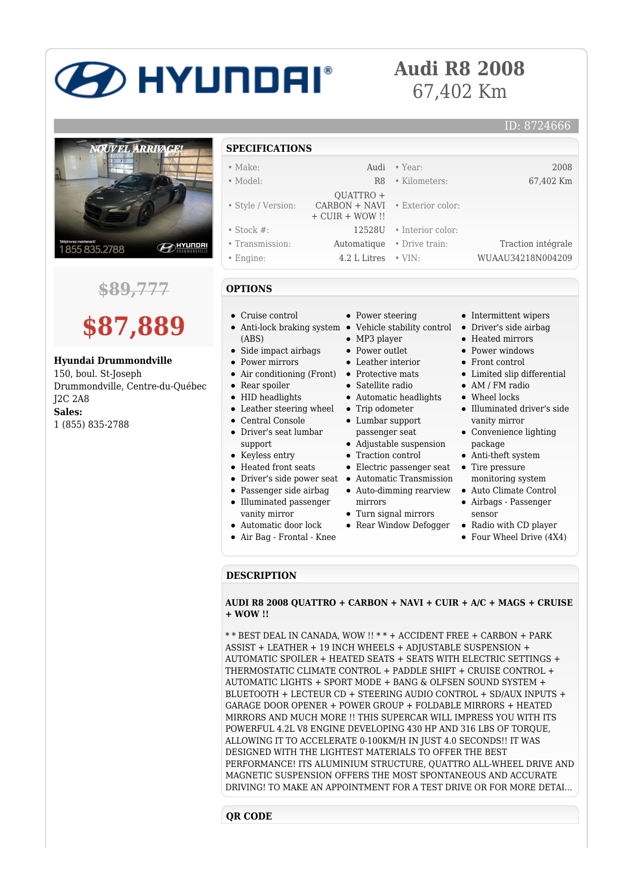# D HYUNDAI®

### **Audi R8 2008** 67,402 Km

ID: 8724666

## **NOUVEL ARRIVAGE BOHYUNDAI** 1855835.2788

**\$89,777**



**Hyundai Drummondville**

150, boul. St-Joseph Drummondville, Centre-du-Québec J2C 2A8 **Sales:** 1 (855) 835-2788

#### **SPECIFICATIONS**

| $\bullet$ Make:    |                                                                       | Audi • Year:               | 2008               |
|--------------------|-----------------------------------------------------------------------|----------------------------|--------------------|
| • Model:           | R <sub>8</sub>                                                        | • Kilometers:              | 67,402 Km          |
| • Style / Version: | OUATTRO +<br>$CARBON + NAVI$ • Exterior color:<br>$+$ CUIR $+$ WOW !! |                            |                    |
| • Stock $#$ :      |                                                                       | 12528U • Interior color:   |                    |
| • Transmission:    |                                                                       | Automatique • Drive train: | Traction intégrale |
| • Engine:          | $4.2$ L Litres $\cdot$ VIN:                                           |                            | WUAAU34218N004209  |

#### **OPTIONS**

- Cruise control
	- (ABS)
- Side impact airbags
- Power mirrors  $\bullet$
- Air conditioning (Front) Protective mats
- $\bullet$ Rear spoiler
- $\bullet$ HID headlights
- Leather steering wheel
- Central Console
- Driver's seat lumbar support
- Keyless entry
- Heated front seats
- Driver's side power seat Automatic Transmission
- Passenger side airbag Illuminated passenger
- vanity mirror
- Automatic door lock
- Air Bag Frontal Knee
- Power steering
- Anti-lock braking system Vehicle stability control Driver's side airbag
	- MP3 player
	- Power outlet
	- Leather interior
	-
	- Satellite radio
	- Automatic headlights
	- Trip odometer
	- Lumbar support
	- passenger seat Adjustable suspension
	- Traction control
	- Electric passenger seat
	-
	-
	- Auto-dimming rearview mirrors
	- Turn signal mirrors
	- Rear Window Defogger
- sensor Radio with CD player  $\bullet$

package Anti-theft system • Tire pressure monitoring system Auto Climate Control Airbags - Passenger

Four Wheel Drive (4X4)

• Intermittent wipers

Limited slip differential

Illuminated driver's side vanity mirror Convenience lighting

Heated mirrors • Power windows • Front control

• AM / FM radio • Wheel locks

#### **DESCRIPTION**

#### **AUDI R8 2008 QUATTRO + CARBON + NAVI + CUIR + A/C + MAGS + CRUISE + WOW !!**

\* \* BEST DEAL IN CANADA, WOW !! \* \* + ACCIDENT FREE + CARBON + PARK ASSIST + LEATHER + 19 INCH WHEELS + ADJUSTABLE SUSPENSION + AUTOMATIC SPOILER + HEATED SEATS + SEATS WITH ELECTRIC SETTINGS + THERMOSTATIC CLIMATE CONTROL + PADDLE SHIFT + CRUISE CONTROL + AUTOMATIC LIGHTS + SPORT MODE + BANG & OLFSEN SOUND SYSTEM + BLUETOOTH + LECTEUR CD + STEERING AUDIO CONTROL + SD/AUX INPUTS + GARAGE DOOR OPENER + POWER GROUP + FOLDABLE MIRRORS + HEATED MIRRORS AND MUCH MORE !! THIS SUPERCAR WILL IMPRESS YOU WITH ITS POWERFUL 4.2L V8 ENGINE DEVELOPING 430 HP AND 316 LBS OF TORQUE, ALLOWING IT TO ACCELERATE 0-100KM/H IN JUST 4.0 SECONDS!! IT WAS DESIGNED WITH THE LIGHTEST MATERIALS TO OFFER THE BEST PERFORMANCE! ITS ALUMINIUM STRUCTURE, QUATTRO ALL-WHEEL DRIVE AND MAGNETIC SUSPENSION OFFERS THE MOST SPONTANEOUS AND ACCURATE DRIVING! TO MAKE AN APPOINTMENT FOR A TEST DRIVE OR FOR MORE DETAI...

#### **QR CODE**